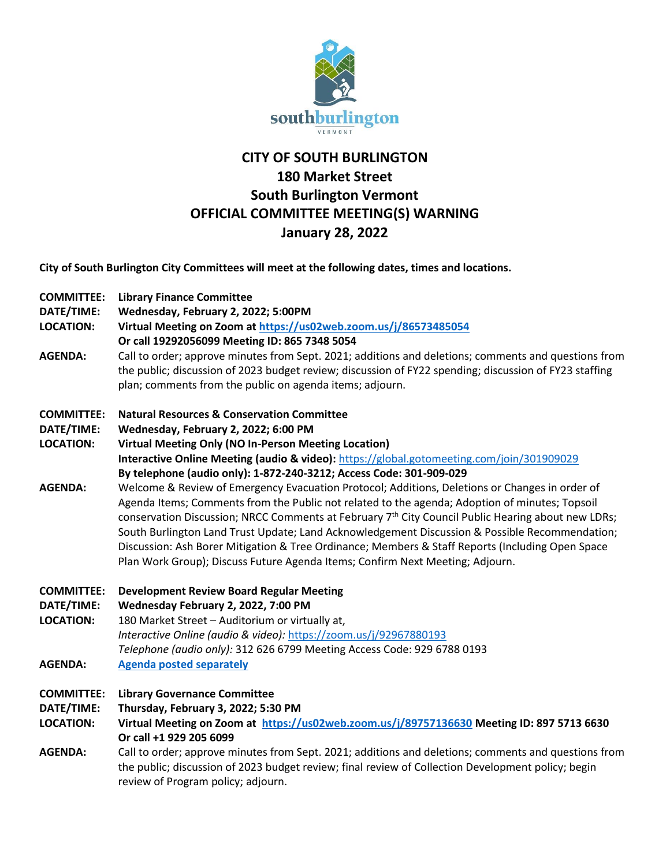

## **CITY OF SOUTH BURLINGTON 180 Market Street South Burlington Vermont OFFICIAL COMMITTEE MEETING(S) WARNING January 28, 2022**

**City of South Burlington City Committees will meet at the following dates, times and locations.** 

- **COMMITTEE: Library Finance Committee**
- **DATE/TIME: Wednesday, February 2, 2022; 5:00PM**
- **LOCATION: Virtual Meeting on Zoom at<https://us02web.zoom.us/j/86573485054>**
- **Or call 19292056099 Meeting ID: 865 7348 5054**
- **AGENDA:** Call to order; approve minutes from Sept. 2021; additions and deletions; comments and questions from the public; discussion of 2023 budget review; discussion of FY22 spending; discussion of FY23 staffing plan; comments from the public on agenda items; adjourn.

## **COMMITTEE: Natural Resources & Conservation Committee**

- **DATE/TIME: Wednesday, February 2, 2022; 6:00 PM**
- **LOCATION: Virtual Meeting Only (NO In-Person Meeting Location) Interactive Online Meeting (audio & video):** <https://global.gotomeeting.com/join/301909029> **By telephone (audio only): 1-872-240-3212; Access Code: 301-909-029**
- **AGENDA:** Welcome & Review of Emergency Evacuation Protocol; Additions, Deletions or Changes in order of Agenda Items; Comments from the Public not related to the agenda; Adoption of minutes; Topsoil conservation Discussion; NRCC Comments at February 7<sup>th</sup> City Council Public Hearing about new LDRs; South Burlington Land Trust Update; Land Acknowledgement Discussion & Possible Recommendation; Discussion: Ash Borer Mitigation & Tree Ordinance; Members & Staff Reports (Including Open Space Plan Work Group); Discuss Future Agenda Items; Confirm Next Meeting; Adjourn.
- **COMMITTEE: Development Review Board Regular Meeting**
- **DATE/TIME: Wednesday February 2, 2022, 7:00 PM**

**LOCATION:** 180 Market Street – Auditorium or virtually at, *Interactive Online (audio & video):* <https://zoom.us/j/92967880193> *Telephone (audio only):* 312 626 6799 Meeting Access Code: 929 6788 0193

- **AGENDA: [Agenda posted separately](https://sbvt-records.info/WebLink/Browse.aspx?id=40952&dbid=0&repo=SBurl)**
- **COMMITTEE: Library Governance Committee**
- **DATE/TIME: Thursday, February 3, 2022; 5:30 PM**

**LOCATION: Virtual Meeting on Zoom at <https://us02web.zoom.us/j/89757136630> Meeting ID: 897 5713 6630 Or call +1 929 205 6099**

**AGENDA:** Call to order; approve minutes from Sept. 2021; additions and deletions; comments and questions from the public; discussion of 2023 budget review; final review of Collection Development policy; begin review of Program policy; adjourn.